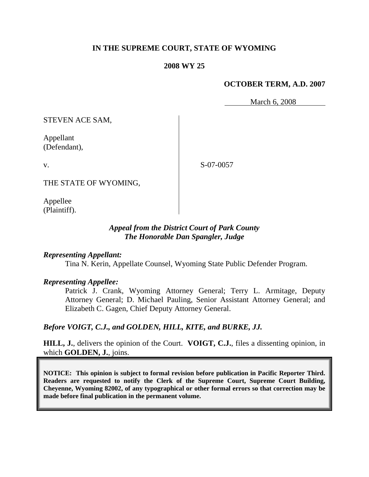## **IN THE SUPREME COURT, STATE OF WYOMING**

## **2008 WY 25**

## **OCTOBER TERM, A.D. 2007**

March 6, 2008

STEVEN ACE SAM,

Appellant (Defendant),

v.

S-07-0057

THE STATE OF WYOMING,

Appellee (Plaintiff).

## *Appeal from the District Court of Park County The Honorable Dan Spangler, Judge*

### *Representing Appellant:*

Tina N. Kerin, Appellate Counsel, Wyoming State Public Defender Program.

### *Representing Appellee:*

Patrick J. Crank, Wyoming Attorney General; Terry L. Armitage, Deputy Attorney General; D. Michael Pauling, Senior Assistant Attorney General; and Elizabeth C. Gagen, Chief Deputy Attorney General.

## *Before VOIGT, C.J., and GOLDEN, HILL, KITE, and BURKE, JJ.*

**HILL, J.**, delivers the opinion of the Court. **VOIGT, C.J.**, files a dissenting opinion, in which **GOLDEN, J.**, joins.

**NOTICE: This opinion is subject to formal revision before publication in Pacific Reporter Third. Readers are requested to notify the Clerk of the Supreme Court, Supreme Court Building, Cheyenne, Wyoming 82002, of any typographical or other formal errors so that correction may be made before final publication in the permanent volume.**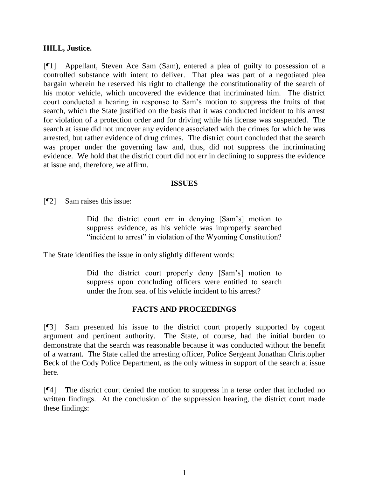### **HILL, Justice.**

[¶1] Appellant, Steven Ace Sam (Sam), entered a plea of guilty to possession of a controlled substance with intent to deliver. That plea was part of a negotiated plea bargain wherein he reserved his right to challenge the constitutionality of the search of his motor vehicle, which uncovered the evidence that incriminated him. The district court conducted a hearing in response to Sam's motion to suppress the fruits of that search, which the State justified on the basis that it was conducted incident to his arrest for violation of a protection order and for driving while his license was suspended. The search at issue did not uncover any evidence associated with the crimes for which he was arrested, but rather evidence of drug crimes. The district court concluded that the search was proper under the governing law and, thus, did not suppress the incriminating evidence. We hold that the district court did not err in declining to suppress the evidence at issue and, therefore, we affirm.

### **ISSUES**

[¶2] Sam raises this issue:

Did the district court err in denying [Sam's] motion to suppress evidence, as his vehicle was improperly searched "incident to arrest" in violation of the Wyoming Constitution?

The State identifies the issue in only slightly different words:

Did the district court properly deny [Sam's] motion to suppress upon concluding officers were entitled to search under the front seat of his vehicle incident to his arrest?

## **FACTS AND PROCEEDINGS**

[¶3] Sam presented his issue to the district court properly supported by cogent argument and pertinent authority. The State, of course, had the initial burden to demonstrate that the search was reasonable because it was conducted without the benefit of a warrant. The State called the arresting officer, Police Sergeant Jonathan Christopher Beck of the Cody Police Department, as the only witness in support of the search at issue here.

[¶4] The district court denied the motion to suppress in a terse order that included no written findings. At the conclusion of the suppression hearing, the district court made these findings: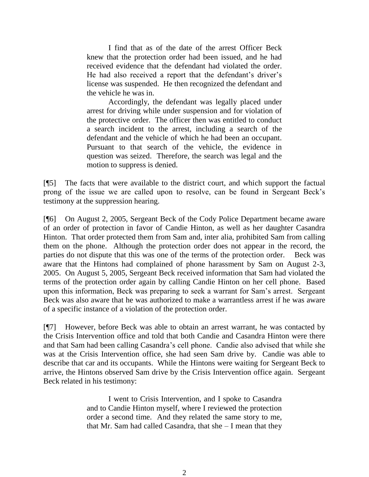I find that as of the date of the arrest Officer Beck knew that the protection order had been issued, and he had received evidence that the defendant had violated the order. He had also received a report that the defendant's driver's license was suspended. He then recognized the defendant and the vehicle he was in.

Accordingly, the defendant was legally placed under arrest for driving while under suspension and for violation of the protective order. The officer then was entitled to conduct a search incident to the arrest, including a search of the defendant and the vehicle of which he had been an occupant. Pursuant to that search of the vehicle, the evidence in question was seized. Therefore, the search was legal and the motion to suppress is denied.

[¶5] The facts that were available to the district court, and which support the factual prong of the issue we are called upon to resolve, can be found in Sergeant Beck's testimony at the suppression hearing.

[¶6] On August 2, 2005, Sergeant Beck of the Cody Police Department became aware of an order of protection in favor of Candie Hinton, as well as her daughter Casandra Hinton. That order protected them from Sam and, inter alia, prohibited Sam from calling them on the phone. Although the protection order does not appear in the record, the parties do not dispute that this was one of the terms of the protection order. Beck was aware that the Hintons had complained of phone harassment by Sam on August 2-3, 2005. On August 5, 2005, Sergeant Beck received information that Sam had violated the terms of the protection order again by calling Candie Hinton on her cell phone. Based upon this information, Beck was preparing to seek a warrant for Sam's arrest. Sergeant Beck was also aware that he was authorized to make a warrantless arrest if he was aware of a specific instance of a violation of the protection order.

[¶7] However, before Beck was able to obtain an arrest warrant, he was contacted by the Crisis Intervention office and told that both Candie and Casandra Hinton were there and that Sam had been calling Casandra's cell phone. Candie also advised that while she was at the Crisis Intervention office, she had seen Sam drive by. Candie was able to describe that car and its occupants. While the Hintons were waiting for Sergeant Beck to arrive, the Hintons observed Sam drive by the Crisis Intervention office again. Sergeant Beck related in his testimony:

> I went to Crisis Intervention, and I spoke to Casandra and to Candie Hinton myself, where I reviewed the protection order a second time. And they related the same story to me, that Mr. Sam had called Casandra, that she – I mean that they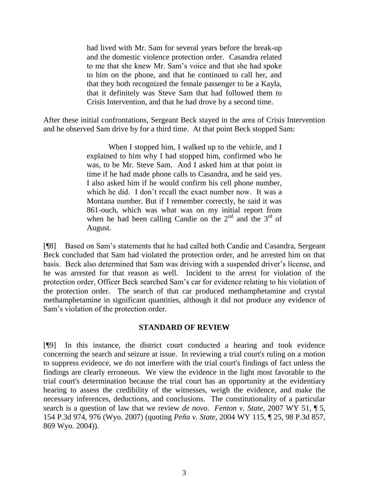had lived with Mr. Sam for several years before the break-up and the domestic violence protection order. Casandra related to me that she knew Mr. Sam's voice and that she had spoke to him on the phone, and that he continued to call her, and that they both recognized the female passenger to be a Kayla, that it definitely was Steve Sam that had followed them to Crisis Intervention, and that he had drove by a second time.

After these initial confrontations, Sergeant Beck stayed in the area of Crisis Intervention and he observed Sam drive by for a third time. At that point Beck stopped Sam:

> When I stopped him, I walked up to the vehicle, and I explained to him why I had stopped him, confirmed who he was, to be Mr. Steve Sam. And I asked him at that point in time if he had made phone calls to Casandra, and he said yes. I also asked him if he would confirm his cell phone number, which he did. I don't recall the exact number now. It was a Montana number. But if I remember correctly, he said it was 861-ouch, which was what was on my initial report from when he had been calling Candie on the  $2<sup>nd</sup>$  and the  $3<sup>rd</sup>$  of August.

[¶8] Based on Sam's statements that he had called both Candie and Casandra, Sergeant Beck concluded that Sam had violated the protection order, and he arrested him on that basis. Beck also determined that Sam was driving with a suspended driver's license, and he was arrested for that reason as well. Incident to the arrest for violation of the protection order, Officer Beck searched Sam's car for evidence relating to his violation of the protection order. The search of that car produced methamphetamine and crystal methamphetamine in significant quantities, although it did not produce any evidence of Sam's violation of the protection order.

### **STANDARD OF REVIEW**

[¶9] In this instance, the district court conducted a hearing and took evidence concerning the search and seizure at issue. In reviewing a trial court's ruling on a motion to suppress evidence, we do not interfere with the trial court's findings of fact unless the findings are clearly erroneous. We view the evidence in the light most favorable to the trial court's determination because the trial court has an opportunity at the evidentiary hearing to assess the credibility of the witnesses, weigh the evidence, and make the necessary inferences, deductions, and conclusions. The constitutionality of a particular search is a question of law that we review *de novo*. *Fenton v. State*, 2007 WY 51, ¶ 5, 154 P.3d 974, 976 (Wyo. 2007) (quoting *Peña v. State*, 2004 WY 115, ¶ 25, 98 P.3d 857, 869 Wyo. 2004)).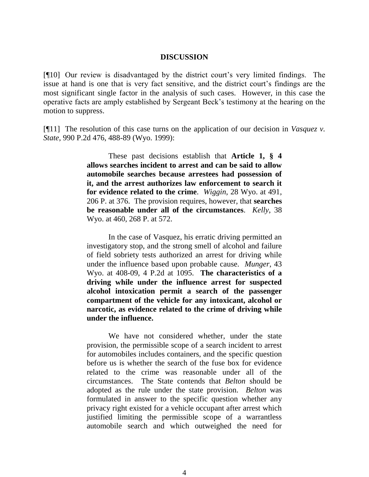#### **DISCUSSION**

[¶10] Our review is disadvantaged by the district court's very limited findings. The issue at hand is one that is very fact sensitive, and the district court's findings are the most significant single factor in the analysis of such cases. However, in this case the operative facts are amply established by Sergeant Beck's testimony at the hearing on the motion to suppress.

[¶11] The resolution of this case turns on the application of our decision in *Vasquez v. State*, 990 P.2d 476, 488-89 (Wyo. 1999):

> These past decisions establish that **Article 1, § 4 allows searches incident to arrest and can be said to allow automobile searches because arrestees had possession of it, and the arrest authorizes law enforcement to search it for evidence related to the crime**. *Wiggin*, 28 Wyo. at 491, 206 P. at 376. The provision requires, however, that **searches be reasonable under all of the circumstances**. *Kelly*, 38 Wyo. at 460, 268 P. at 572.

> In the case of Vasquez, his erratic driving permitted an investigatory stop, and the strong smell of alcohol and failure of field sobriety tests authorized an arrest for driving while under the influence based upon probable cause. *Munger*, 43 Wyo. at 408-09, 4 P.2d at 1095. **The characteristics of a driving while under the influence arrest for suspected alcohol intoxication permit a search of the passenger compartment of the vehicle for any intoxicant, alcohol or narcotic, as evidence related to the crime of driving while under the influence.**

> We have not considered whether, under the state provision, the permissible scope of a search incident to arrest for automobiles includes containers, and the specific question before us is whether the search of the fuse box for evidence related to the crime was reasonable under all of the circumstances. The State contends that *Belton* should be adopted as the rule under the state provision. *Belton* was formulated in answer to the specific question whether any privacy right existed for a vehicle occupant after arrest which justified limiting the permissible scope of a warrantless automobile search and which outweighed the need for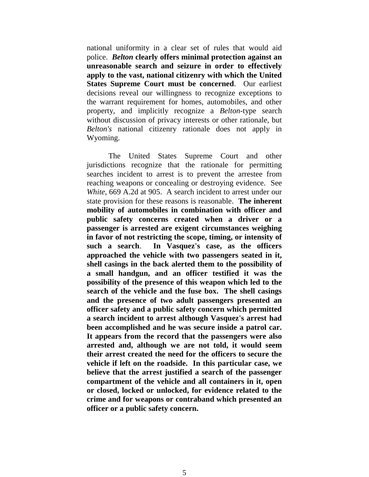national uniformity in a clear set of rules that would aid police. *Belton* **clearly offers minimal protection against an unreasonable search and seizure in order to effectively apply to the vast, national citizenry with which the United States Supreme Court must be concerned**. Our earliest decisions reveal our willingness to recognize exceptions to the warrant requirement for homes, automobiles, and other property, and implicitly recognize a *Belton*-type search without discussion of privacy interests or other rationale, but *Belton's* national citizenry rationale does not apply in Wyoming.

The United States Supreme Court and other jurisdictions recognize that the rationale for permitting searches incident to arrest is to prevent the arrestee from reaching weapons or concealing or destroying evidence. See *White*, 669 A.2d at 905. A search incident to arrest under our state provision for these reasons is reasonable. **The inherent mobility of automobiles in combination with officer and public safety concerns created when a driver or a passenger is arrested are exigent circumstances weighing in favor of not restricting the scope, timing, or intensity of such a search**. **In Vasquez's case, as the officers approached the vehicle with two passengers seated in it, shell casings in the back alerted them to the possibility of a small handgun, and an officer testified it was the possibility of the presence of this weapon which led to the search of the vehicle and the fuse box. The shell casings and the presence of two adult passengers presented an officer safety and a public safety concern which permitted a search incident to arrest although Vasquez's arrest had been accomplished and he was secure inside a patrol car. It appears from the record that the passengers were also arrested and, although we are not told, it would seem their arrest created the need for the officers to secure the vehicle if left on the roadside. In this particular case, we believe that the arrest justified a search of the passenger compartment of the vehicle and all containers in it, open or closed, locked or unlocked, for evidence related to the crime and for weapons or contraband which presented an officer or a public safety concern.**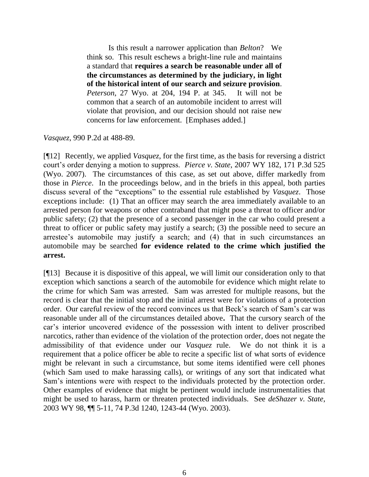Is this result a narrower application than *Belton*? We think so. This result eschews a bright-line rule and maintains a standard that **requires a search be reasonable under all of the circumstances as determined by the judiciary, in light of the historical intent of our search and seizure provision**. *Peterson*, 27 Wyo. at 204, 194 P. at 345. It will not be common that a search of an automobile incident to arrest will violate that provision, and our decision should not raise new concerns for law enforcement. [Emphases added.]

*Vasquez*, 990 P.2d at 488-89.

[¶12] Recently, we applied *Vasquez*, for the first time, as the basis for reversing a district court's order denying a motion to suppress. *Pierce v. State*, 2007 WY 182, 171 P.3d 525 (Wyo. 2007). The circumstances of this case, as set out above, differ markedly from those in *Pierce*. In the proceedings below, and in the briefs in this appeal, both parties discuss several of the "exceptions" to the essential rule established by *Vasquez*. Those exceptions include: (1) That an officer may search the area immediately available to an arrested person for weapons or other contraband that might pose a threat to officer and/or public safety; (2) that the presence of a second passenger in the car who could present a threat to officer or public safety may justify a search; (3) the possible need to secure an arrestee's automobile may justify a search; and (4) that in such circumstances an automobile may be searched **for evidence related to the crime which justified the arrest.**

[¶13] Because it is dispositive of this appeal, we will limit our consideration only to that exception which sanctions a search of the automobile for evidence which might relate to the crime for which Sam was arrested. Sam was arrested for multiple reasons, but the record is clear that the initial stop and the initial arrest were for violations of a protection order. Our careful review of the record convinces us that Beck's search of Sam's car was reasonable under all of the circumstances detailed above**.** That the cursory search of the car's interior uncovered evidence of the possession with intent to deliver proscribed narcotics, rather than evidence of the violation of the protection order, does not negate the admissibility of that evidence under our *Vasquez* rule. We do not think it is a requirement that a police officer be able to recite a specific list of what sorts of evidence might be relevant in such a circumstance, but some items identified were cell phones (which Sam used to make harassing calls), or writings of any sort that indicated what Sam's intentions were with respect to the individuals protected by the protection order. Other examples of evidence that might be pertinent would include instrumentalities that might be used to harass, harm or threaten protected individuals. See *deShazer v. State*, 2003 WY 98, ¶¶ 5-11, 74 P.3d 1240, 1243-44 (Wyo. 2003).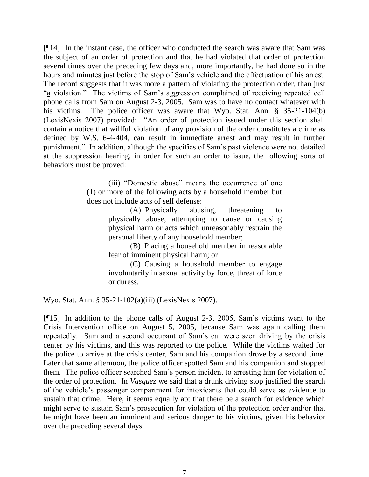[¶14] In the instant case, the officer who conducted the search was aware that Sam was the subject of an order of protection and that he had violated that order of protection several times over the preceding few days and, more importantly, he had done so in the hours and minutes just before the stop of Sam's vehicle and the effectuation of his arrest. The record suggests that it was more a pattern of violating the protection order, than just ―a violation.‖ The victims of Sam's aggression complained of receiving repeated cell phone calls from Sam on August 2-3, 2005. Sam was to have no contact whatever with his victims. The police officer was aware that Wyo. Stat. Ann. § 35-21-104(b) (LexisNexis 2007) provided: "An order of protection issued under this section shall contain a notice that willful violation of any provision of the order constitutes a crime as defined by W.S. 6-4-404, can result in immediate arrest and may result in further punishment.‖ In addition, although the specifics of Sam's past violence were not detailed at the suppression hearing, in order for such an order to issue, the following sorts of behaviors must be proved:

> (iii) "Domestic abuse" means the occurrence of one (1) or more of the following acts by a household member but does not include acts of self defense:

> > (A) Physically abusing, threatening to physically abuse, attempting to cause or causing physical harm or acts which unreasonably restrain the personal liberty of any household member;

> > (B) Placing a household member in reasonable fear of imminent physical harm; or

> > (C) Causing a household member to engage involuntarily in sexual activity by force, threat of force or duress.

Wyo. Stat. Ann. § 35-21-102(a)(iii) (LexisNexis 2007).

[¶15] In addition to the phone calls of August 2-3, 2005, Sam's victims went to the Crisis Intervention office on August 5, 2005, because Sam was again calling them repeatedly. Sam and a second occupant of Sam's car were seen driving by the crisis center by his victims, and this was reported to the police. While the victims waited for the police to arrive at the crisis center, Sam and his companion drove by a second time. Later that same afternoon, the police officer spotted Sam and his companion and stopped them. The police officer searched Sam's person incident to arresting him for violation of the order of protection. In *Vasquez* we said that a drunk driving stop justified the search of the vehicle's passenger compartment for intoxicants that could serve as evidence to sustain that crime. Here, it seems equally apt that there be a search for evidence which might serve to sustain Sam's prosecution for violation of the protection order and/or that he might have been an imminent and serious danger to his victims, given his behavior over the preceding several days.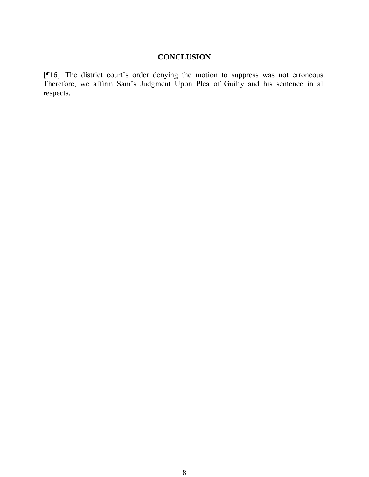# **CONCLUSION**

[¶16] The district court's order denying the motion to suppress was not erroneous. Therefore, we affirm Sam's Judgment Upon Plea of Guilty and his sentence in all respects.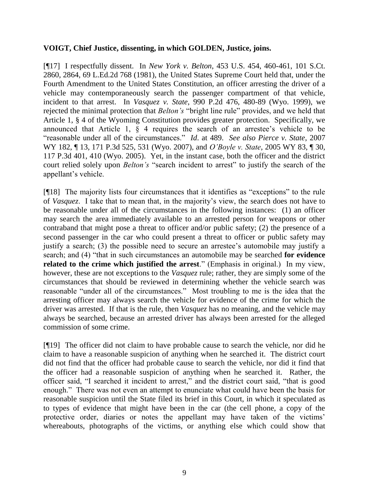## **VOIGT, Chief Justice, dissenting, in which GOLDEN, Justice, joins.**

[¶17] I respectfully dissent. In *New York v. Belton*, 453 U.S. 454, 460-461, 101 S.Ct. 2860, 2864, 69 L.Ed.2d 768 (1981), the United States Supreme Court held that, under the Fourth Amendment to the United States Constitution, an officer arresting the driver of a vehicle may contemporaneously search the passenger compartment of that vehicle, incident to that arrest. In *Vasquez v. State*, 990 P.2d 476, 480-89 (Wyo. 1999), we rejected the minimal protection that *Belton's* "bright line rule" provides, and we held that Article 1, § 4 of the Wyoming Constitution provides greater protection. Specifically, we announced that Article 1, § 4 requires the search of an arrestee's vehicle to be ―reasonable under all of the circumstances.‖ *Id*. at 489. *See also Pierce v. State*, 2007 WY 182, ¶ 13, 171 P.3d 525, 531 (Wyo. 2007), and *O'Boyle v. State*, 2005 WY 83, ¶ 30, 117 P.3d 401, 410 (Wyo. 2005). Yet, in the instant case, both the officer and the district court relied solely upon *Belton's* "search incident to arrest" to justify the search of the appellant's vehicle.

 $[$ [[18] The majority lists four circumstances that it identifies as "exceptions" to the rule of *Vasquez*. I take that to mean that, in the majority's view, the search does not have to be reasonable under all of the circumstances in the following instances: (1) an officer may search the area immediately available to an arrested person for weapons or other contraband that might pose a threat to officer and/or public safety; (2) the presence of a second passenger in the car who could present a threat to officer or public safety may justify a search; (3) the possible need to secure an arrestee's automobile may justify a search; and (4) "that in such circumstances an automobile may be searched **for evidence related to the crime which justified the arrest**." (Emphasis in original.) In my view, however, these are not exceptions to the *Vasquez* rule; rather, they are simply some of the circumstances that should be reviewed in determining whether the vehicle search was reasonable "under all of the circumstances." Most troubling to me is the idea that the arresting officer may always search the vehicle for evidence of the crime for which the driver was arrested. If that is the rule, then *Vasquez* has no meaning, and the vehicle may always be searched, because an arrested driver has always been arrested for the alleged commission of some crime.

[¶19] The officer did not claim to have probable cause to search the vehicle, nor did he claim to have a reasonable suspicion of anything when he searched it. The district court did not find that the officer had probable cause to search the vehicle, nor did it find that the officer had a reasonable suspicion of anything when he searched it. Rather, the officer said, "I searched it incident to arrest," and the district court said, "that is good enough." There was not even an attempt to enunciate what could have been the basis for reasonable suspicion until the State filed its brief in this Court, in which it speculated as to types of evidence that might have been in the car (the cell phone, a copy of the protective order, diaries or notes the appellant may have taken of the victims' whereabouts, photographs of the victims, or anything else which could show that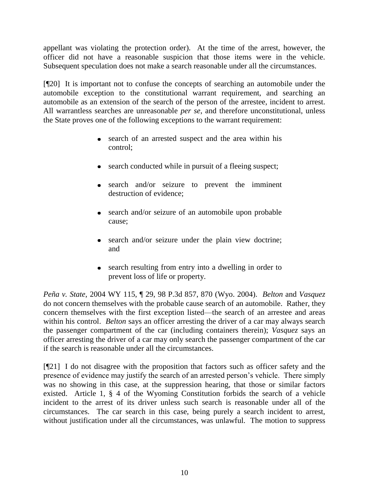appellant was violating the protection order). At the time of the arrest, however, the officer did not have a reasonable suspicion that those items were in the vehicle. Subsequent speculation does not make a search reasonable under all the circumstances.

[¶20] It is important not to confuse the concepts of searching an automobile under the automobile exception to the constitutional warrant requirement, and searching an automobile as an extension of the search of the person of the arrestee, incident to arrest. All warrantless searches are unreasonable *per se*, and therefore unconstitutional, unless the State proves one of the following exceptions to the warrant requirement:

- search of an arrested suspect and the area within his control;
- search conducted while in pursuit of a fleeing suspect;
- search and/or seizure to prevent the imminent destruction of evidence;
- search and/or seizure of an automobile upon probable cause;
- search and/or seizure under the plain view doctrine; and
- search resulting from entry into a dwelling in order to prevent loss of life or property.

*Peña v. State*, 2004 WY 115, ¶ 29, 98 P.3d 857, 870 (Wyo. 2004). *Belton* and *Vasquez* do not concern themselves with the probable cause search of an automobile. Rather, they concern themselves with the first exception listed—the search of an arrestee and areas within his control. *Belton* says an officer arresting the driver of a car may always search the passenger compartment of the car (including containers therein); *Vasquez* says an officer arresting the driver of a car may only search the passenger compartment of the car if the search is reasonable under all the circumstances.

[¶21] I do not disagree with the proposition that factors such as officer safety and the presence of evidence may justify the search of an arrested person's vehicle. There simply was no showing in this case, at the suppression hearing, that those or similar factors existed. Article 1, § 4 of the Wyoming Constitution forbids the search of a vehicle incident to the arrest of its driver unless such search is reasonable under all of the circumstances. The car search in this case, being purely a search incident to arrest, without justification under all the circumstances, was unlawful. The motion to suppress